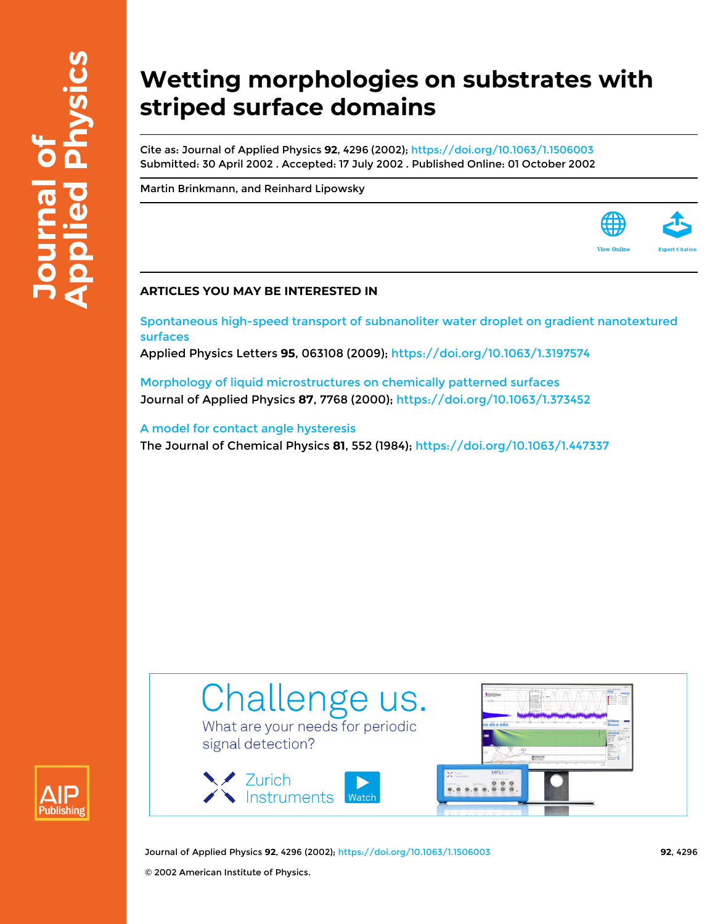# **Wetting morphologies on substrates with striped surface domains**

Cite as: Journal of Applied Physics **92**, 4296 (2002);<https://doi.org/10.1063/1.1506003> Submitted: 30 April 2002 . Accepted: 17 July 2002 . Published Online: 01 October 2002

[Martin Brinkmann,](https://aip.scitation.org/author/Brinkmann%2C+Martin) and [Reinhard Lipowsky](https://aip.scitation.org/author/Lipowsky%2C+Reinhard)



[Spontaneous high-speed transport of subnanoliter water droplet on gradient nanotextured](https://aip.scitation.org/doi/10.1063/1.3197574) [surfaces](https://aip.scitation.org/doi/10.1063/1.3197574)

Applied Physics Letters **95**, 063108 (2009);<https://doi.org/10.1063/1.3197574>

[Morphology of liquid microstructures on chemically patterned surfaces](https://aip.scitation.org/doi/10.1063/1.373452) Journal of Applied Physics **87**, 7768 (2000); <https://doi.org/10.1063/1.373452>

[A model for contact angle hysteresis](https://aip.scitation.org/doi/10.1063/1.447337) The Journal of Chemical Physics **81**, 552 (1984); <https://doi.org/10.1063/1.447337>









Journal of Applied Physics **92**, 4296 (2002); <https://doi.org/10.1063/1.1506003> **92**, 4296 © 2002 American Institute of Physics.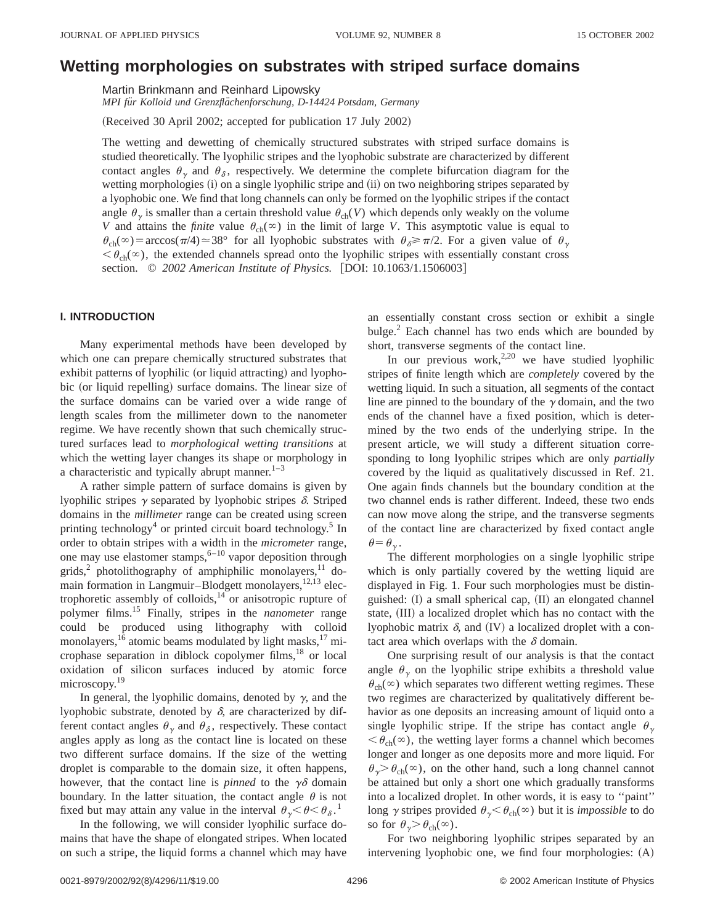# **Wetting morphologies on substrates with striped surface domains**

Martin Brinkmann and Reinhard Lipowsky

*MPI fu¨r Kolloid und Grenzfla¨chenforschung, D-14424 Potsdam, Germany*

(Received 30 April 2002; accepted for publication 17 July 2002)

The wetting and dewetting of chemically structured substrates with striped surface domains is studied theoretically. The lyophilic stripes and the lyophobic substrate are characterized by different contact angles  $\theta_{\gamma}$  and  $\theta_{\delta}$ , respectively. We determine the complete bifurcation diagram for the wetting morphologies (i) on a single lyophilic stripe and (ii) on two neighboring stripes separated by a lyophobic one. We find that long channels can only be formed on the lyophilic stripes if the contact angle  $\theta_{\gamma}$  is smaller than a certain threshold value  $\theta_{ch}(V)$  which depends only weakly on the volume *V* and attains the *finite* value  $\theta_{ch}(\infty)$  in the limit of large *V*. This asymptotic value is equal to  $\theta_{ch}(\infty)$  = arccos( $\pi/4$ )  $\approx$  38° for all lyophobic substrates with  $\theta_{\delta} \ge \pi/2$ . For a given value of  $\theta_{\gamma}$  $<\theta_{ch}(\infty)$ , the extended channels spread onto the lyophilic stripes with essentially constant cross section. © 2002 American Institute of Physics. [DOI: 10.1063/1.1506003]

# **I. INTRODUCTION**

Many experimental methods have been developed by which one can prepare chemically structured substrates that exhibit patterns of lyophilic (or liquid attracting) and lyophobic (or liquid repelling) surface domains. The linear size of the surface domains can be varied over a wide range of length scales from the millimeter down to the nanometer regime. We have recently shown that such chemically structured surfaces lead to *morphological wetting transitions* at which the wetting layer changes its shape or morphology in a characteristic and typically abrupt manner. $1-3$ 

A rather simple pattern of surface domains is given by lyophilic stripes  $\gamma$  separated by lyophobic stripes  $\delta$ . Striped domains in the *millimeter* range can be created using screen printing technology<sup>4</sup> or printed circuit board technology.<sup>5</sup> In order to obtain stripes with a width in the *micrometer* range, one may use elastomer stamps, $6-10$  vapor deposition through grids,<sup>2</sup> photolithography of amphiphilic monolayers,<sup>11</sup> domain formation in Langmuir–Blodgett monolayers, $12,13$  electrophoretic assembly of colloids, $14$  or anisotropic rupture of polymer films.15 Finally, stripes in the *nanometer* range could be produced using lithography with colloid monolayers, $^{16}$  atomic beams modulated by light masks, $^{17}$  microphase separation in diblock copolymer films,18 or local oxidation of silicon surfaces induced by atomic force microscopy.<sup>19</sup>

In general, the lyophilic domains, denoted by  $\gamma$ , and the lyophobic substrate, denoted by  $\delta$ , are characterized by different contact angles  $\theta_{\gamma}$  and  $\theta_{\delta}$ , respectively. These contact angles apply as long as the contact line is located on these two different surface domains. If the size of the wetting droplet is comparable to the domain size, it often happens, however, that the contact line is *pinned* to the  $\gamma\delta$  domain boundary. In the latter situation, the contact angle  $\theta$  is not fixed but may attain any value in the interval  $\theta_{\gamma} < \theta < \theta_{\delta}$ .

In the following, we will consider lyophilic surface domains that have the shape of elongated stripes. When located on such a stripe, the liquid forms a channel which may have an essentially constant cross section or exhibit a single  $bulge.<sup>2</sup>$  Each channel has two ends which are bounded by short, transverse segments of the contact line.

In our previous work,  $2,20$  we have studied lyophilic stripes of finite length which are *completely* covered by the wetting liquid. In such a situation, all segments of the contact line are pinned to the boundary of the  $\gamma$  domain, and the two ends of the channel have a fixed position, which is determined by the two ends of the underlying stripe. In the present article, we will study a different situation corresponding to long lyophilic stripes which are only *partially* covered by the liquid as qualitatively discussed in Ref. 21. One again finds channels but the boundary condition at the two channel ends is rather different. Indeed, these two ends can now move along the stripe, and the transverse segments of the contact line are characterized by fixed contact angle  $\theta = \theta_{\gamma}$ .

The different morphologies on a single lyophilic stripe which is only partially covered by the wetting liquid are displayed in Fig. 1. Four such morphologies must be distinguished:  $(I)$  a small spherical cap,  $(II)$  an elongated channel state,  $(III)$  a localized droplet which has no contact with the lyophobic matrix  $\delta$ , and (IV) a localized droplet with a contact area which overlaps with the  $\delta$  domain.

One surprising result of our analysis is that the contact angle  $\theta_{\gamma}$  on the lyophilic stripe exhibits a threshold value  $\theta_{ch}(\infty)$  which separates two different wetting regimes. These two regimes are characterized by qualitatively different behavior as one deposits an increasing amount of liquid onto a single lyophilic stripe. If the stripe has contact angle  $\theta_{\gamma}$  $<\theta_{ch}(\infty)$ , the wetting layer forms a channel which becomes longer and longer as one deposits more and more liquid. For  $\theta_{\gamma} > \theta_{ch}(\infty)$ , on the other hand, such a long channel cannot be attained but only a short one which gradually transforms into a localized droplet. In other words, it is easy to ''paint'' long  $\gamma$  stripes provided  $\theta_{\gamma} < \theta_{\rm ch}(\infty)$  but it is *impossible* to do so for  $\theta_{\gamma} > \theta_{ch}(\infty)$ .

For two neighboring lyophilic stripes separated by an intervening lyophobic one, we find four morphologies:  $(A)$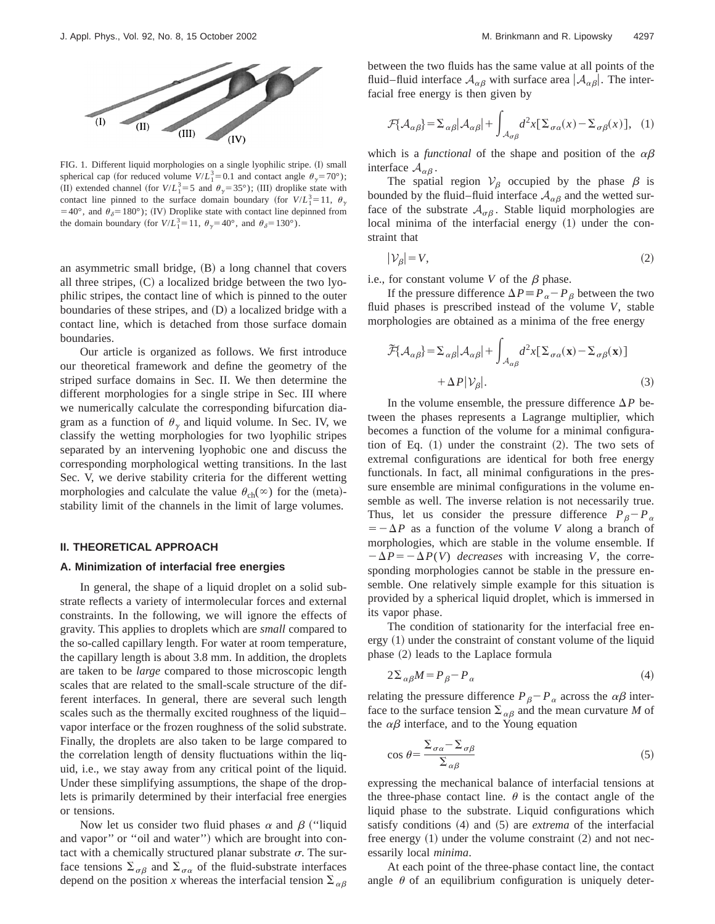

FIG. 1. Different liquid morphologies on a single lyophilic stripe. (I) small spherical cap (for reduced volume  $V/L_1^3 = 0.1$  and contact angle  $\theta_{\gamma} = 70^{\circ}$ ); (II) extended channel (for  $V/L_1^3 = 5$  and  $\theta_{\gamma} = 35^{\circ}$ ); (III) droplike state with contact line pinned to the surface domain boundary (for  $V/L_1^3 = 11$ ,  $\theta_\gamma$ =40°, and  $\theta_{\delta}$ =180°); (IV) Droplike state with contact line depinned from the domain boundary (for  $V/L_1^3 = 11$ ,  $\theta_{\gamma} = 40^{\circ}$ , and  $\theta_{\delta} = 130^{\circ}$ ).

an asymmetric small bridge,  $(B)$  a long channel that covers all three stripes,  $(C)$  a localized bridge between the two lyophilic stripes, the contact line of which is pinned to the outer boundaries of these stripes, and  $(D)$  a localized bridge with a contact line, which is detached from those surface domain boundaries.

Our article is organized as follows. We first introduce our theoretical framework and define the geometry of the striped surface domains in Sec. II. We then determine the different morphologies for a single stripe in Sec. III where we numerically calculate the corresponding bifurcation diagram as a function of  $\theta_{\gamma}$  and liquid volume. In Sec. IV, we classify the wetting morphologies for two lyophilic stripes separated by an intervening lyophobic one and discuss the corresponding morphological wetting transitions. In the last Sec. V, we derive stability criteria for the different wetting morphologies and calculate the value  $\theta_{ch}(\infty)$  for the (meta)stability limit of the channels in the limit of large volumes.

#### **II. THEORETICAL APPROACH**

#### **A. Minimization of interfacial free energies**

In general, the shape of a liquid droplet on a solid substrate reflects a variety of intermolecular forces and external constraints. In the following, we will ignore the effects of gravity. This applies to droplets which are *small* compared to the so-called capillary length. For water at room temperature, the capillary length is about 3.8 mm. In addition, the droplets are taken to be *large* compared to those microscopic length scales that are related to the small-scale structure of the different interfaces. In general, there are several such length scales such as the thermally excited roughness of the liquid– vapor interface or the frozen roughness of the solid substrate. Finally, the droplets are also taken to be large compared to the correlation length of density fluctuations within the liquid, i.e., we stay away from any critical point of the liquid. Under these simplifying assumptions, the shape of the droplets is primarily determined by their interfacial free energies or tensions.

Now let us consider two fluid phases  $\alpha$  and  $\beta$  ("liquid") and vapor" or "oil and water") which are brought into contact with a chemically structured planar substrate  $\sigma$ . The surface tensions  $\Sigma_{\sigma\beta}$  and  $\Sigma_{\sigma\alpha}$  of the fluid-substrate interfaces depend on the position *x* whereas the interfacial tension  $\sum_{\alpha\beta}$  between the two fluids has the same value at all points of the fluid–fluid interface  $A_{\alpha\beta}$  with surface area  $|A_{\alpha\beta}|$ . The interfacial free energy is then given by

$$
\mathcal{F}\{\mathcal{A}_{\alpha\beta}\} = \sum_{\alpha\beta} |\mathcal{A}_{\alpha\beta}| + \int_{\mathcal{A}_{\sigma\beta}} d^2x [\Sigma_{\sigma\alpha}(x) - \Sigma_{\sigma\beta}(x)], \quad (1)
$$

which is a *functional* of the shape and position of the  $\alpha\beta$ interface  $A_{\alpha\beta}$ .

The spatial region  $V_\beta$  occupied by the phase  $\beta$  is bounded by the fluid–fluid interface  $A_{\alpha\beta}$  and the wetted surface of the substrate  $A_{\sigma\beta}$ . Stable liquid morphologies are local minima of the interfacial energy  $(1)$  under the constraint that

$$
|\mathcal{V}_{\beta}| = V,\tag{2}
$$

i.e., for constant volume  $V$  of the  $\beta$  phase.

If the pressure difference  $\Delta P \equiv P_\alpha - P_\beta$  between the two fluid phases is prescribed instead of the volume *V*, stable morphologies are obtained as a minima of the free energy

$$
\widetilde{\mathcal{F}}\{\mathcal{A}_{\alpha\beta}\} = \Sigma_{\alpha\beta} |\mathcal{A}_{\alpha\beta}| + \int_{\mathcal{A}_{\alpha\beta}} d^2x [\Sigma_{\sigma\alpha}(\mathbf{x}) - \Sigma_{\sigma\beta}(\mathbf{x})] + \Delta P |\mathcal{V}_{\beta}|.
$$
\n(3)

In the volume ensemble, the pressure difference  $\Delta P$  between the phases represents a Lagrange multiplier, which becomes a function of the volume for a minimal configuration of Eq.  $(1)$  under the constraint  $(2)$ . The two sets of extremal configurations are identical for both free energy functionals. In fact, all minimal configurations in the pressure ensemble are minimal configurations in the volume ensemble as well. The inverse relation is not necessarily true. Thus, let us consider the pressure difference  $P_{\beta} - P_{\alpha}$  $= -\Delta P$  as a function of the volume *V* along a branch of morphologies, which are stable in the volume ensemble. If  $-\Delta P = -\Delta P(V)$  *decreases* with increasing *V*, the corresponding morphologies cannot be stable in the pressure ensemble. One relatively simple example for this situation is provided by a spherical liquid droplet, which is immersed in its vapor phase.

The condition of stationarity for the interfacial free energy  $(1)$  under the constraint of constant volume of the liquid phase  $(2)$  leads to the Laplace formula

$$
2\Sigma_{\alpha\beta}M = P_{\beta} - P_{\alpha} \tag{4}
$$

relating the pressure difference  $P_{\beta} - P_{\alpha}$  across the  $\alpha\beta$  interface to the surface tension  $\sum_{\alpha\beta}$  and the mean curvature *M* of the  $\alpha\beta$  interface, and to the Young equation

$$
\cos \theta = \frac{\sum_{\sigma \alpha} - \sum_{\sigma \beta}}{\sum_{\alpha \beta}} \tag{5}
$$

expressing the mechanical balance of interfacial tensions at the three-phase contact line.  $\theta$  is the contact angle of the liquid phase to the substrate. Liquid configurations which satisfy conditions (4) and (5) are *extrema* of the interfacial free energy  $(1)$  under the volume constraint  $(2)$  and not necessarily local *minima*.

At each point of the three-phase contact line, the contact angle  $\theta$  of an equilibrium configuration is uniquely deter-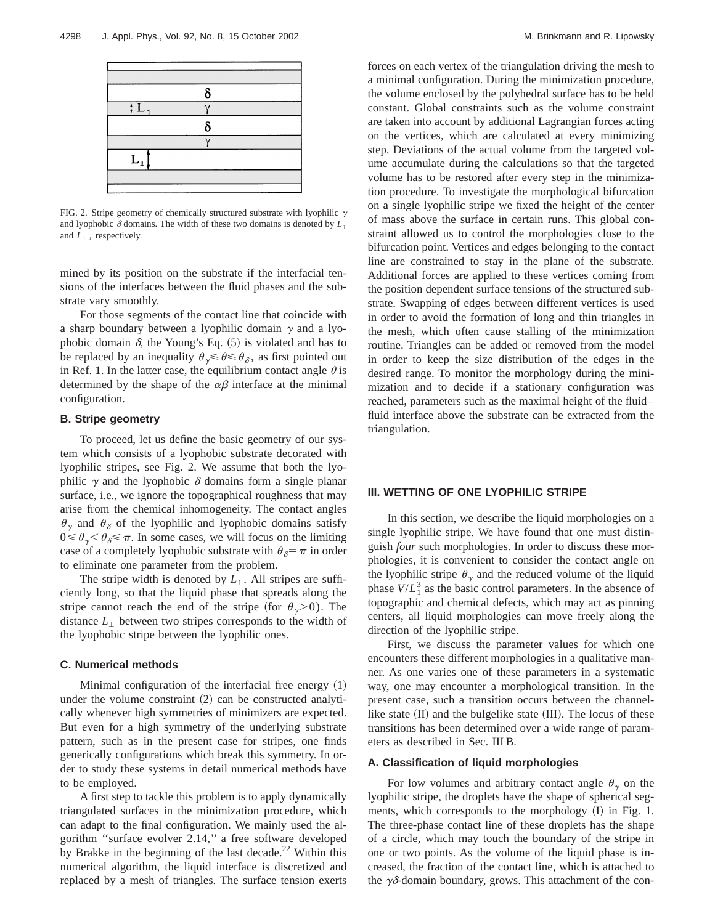

FIG. 2. Stripe geometry of chemically structured substrate with lyophilic  $\gamma$ and lyophobic  $\delta$  domains. The width of these two domains is denoted by  $L_1$ and  $L_{\perp}$ , respectively.

mined by its position on the substrate if the interfacial tensions of the interfaces between the fluid phases and the substrate vary smoothly.

For those segments of the contact line that coincide with a sharp boundary between a lyophilic domain  $\gamma$  and a lyophobic domain  $\delta$ , the Young's Eq. (5) is violated and has to be replaced by an inequality  $\theta_{\gamma} \leq \theta \leq \theta_{\delta}$ , as first pointed out in Ref. 1. In the latter case, the equilibrium contact angle  $\theta$  is determined by the shape of the  $\alpha\beta$  interface at the minimal configuration.

# **B. Stripe geometry**

To proceed, let us define the basic geometry of our system which consists of a lyophobic substrate decorated with lyophilic stripes, see Fig. 2. We assume that both the lyophilic  $\gamma$  and the lyophobic  $\delta$  domains form a single planar surface, i.e., we ignore the topographical roughness that may arise from the chemical inhomogeneity. The contact angles  $\theta_{\gamma}$  and  $\theta_{\delta}$  of the lyophilic and lyophobic domains satisfy  $0 \le \theta_{\gamma} \le \theta_{\delta} \le \pi$ . In some cases, we will focus on the limiting case of a completely lyophobic substrate with  $\theta_{\delta} = \pi$  in order to eliminate one parameter from the problem.

The stripe width is denoted by  $L_1$ . All stripes are sufficiently long, so that the liquid phase that spreads along the stripe cannot reach the end of the stripe (for  $\theta_{\gamma} > 0$ ). The distance  $L_{\perp}$  between two stripes corresponds to the width of the lyophobic stripe between the lyophilic ones.

#### **C. Numerical methods**

Minimal configuration of the interfacial free energy  $(1)$ under the volume constraint  $(2)$  can be constructed analytically whenever high symmetries of minimizers are expected. But even for a high symmetry of the underlying substrate pattern, such as in the present case for stripes, one finds generically configurations which break this symmetry. In order to study these systems in detail numerical methods have to be employed.

A first step to tackle this problem is to apply dynamically triangulated surfaces in the minimization procedure, which can adapt to the final configuration. We mainly used the algorithm ''surface evolver 2.14,'' a free software developed by Brakke in the beginning of the last decade.<sup>22</sup> Within this numerical algorithm, the liquid interface is discretized and replaced by a mesh of triangles. The surface tension exerts forces on each vertex of the triangulation driving the mesh to a minimal configuration. During the minimization procedure, the volume enclosed by the polyhedral surface has to be held constant. Global constraints such as the volume constraint are taken into account by additional Lagrangian forces acting on the vertices, which are calculated at every minimizing step. Deviations of the actual volume from the targeted volume accumulate during the calculations so that the targeted volume has to be restored after every step in the minimization procedure. To investigate the morphological bifurcation on a single lyophilic stripe we fixed the height of the center of mass above the surface in certain runs. This global constraint allowed us to control the morphologies close to the bifurcation point. Vertices and edges belonging to the contact line are constrained to stay in the plane of the substrate. Additional forces are applied to these vertices coming from the position dependent surface tensions of the structured substrate. Swapping of edges between different vertices is used in order to avoid the formation of long and thin triangles in the mesh, which often cause stalling of the minimization routine. Triangles can be added or removed from the model in order to keep the size distribution of the edges in the desired range. To monitor the morphology during the minimization and to decide if a stationary configuration was reached, parameters such as the maximal height of the fluid– fluid interface above the substrate can be extracted from the triangulation.

# **III. WETTING OF ONE LYOPHILIC STRIPE**

In this section, we describe the liquid morphologies on a single lyophilic stripe. We have found that one must distinguish *four* such morphologies. In order to discuss these morphologies, it is convenient to consider the contact angle on the lyophilic stripe  $\theta_{\gamma}$  and the reduced volume of the liquid phase  $V/L_1^3$  as the basic control parameters. In the absence of topographic and chemical defects, which may act as pinning centers, all liquid morphologies can move freely along the direction of the lyophilic stripe.

First, we discuss the parameter values for which one encounters these different morphologies in a qualitative manner. As one varies one of these parameters in a systematic way, one may encounter a morphological transition. In the present case, such a transition occurs between the channellike state  $(II)$  and the bulgelike state  $(III)$ . The locus of these transitions has been determined over a wide range of parameters as described in Sec. III B.

# **A. Classification of liquid morphologies**

For low volumes and arbitrary contact angle  $\theta_{\gamma}$  on the lyophilic stripe, the droplets have the shape of spherical segments, which corresponds to the morphology  $(I)$  in Fig. 1. The three-phase contact line of these droplets has the shape of a circle, which may touch the boundary of the stripe in one or two points. As the volume of the liquid phase is increased, the fraction of the contact line, which is attached to the  $\gamma\delta$ -domain boundary, grows. This attachment of the con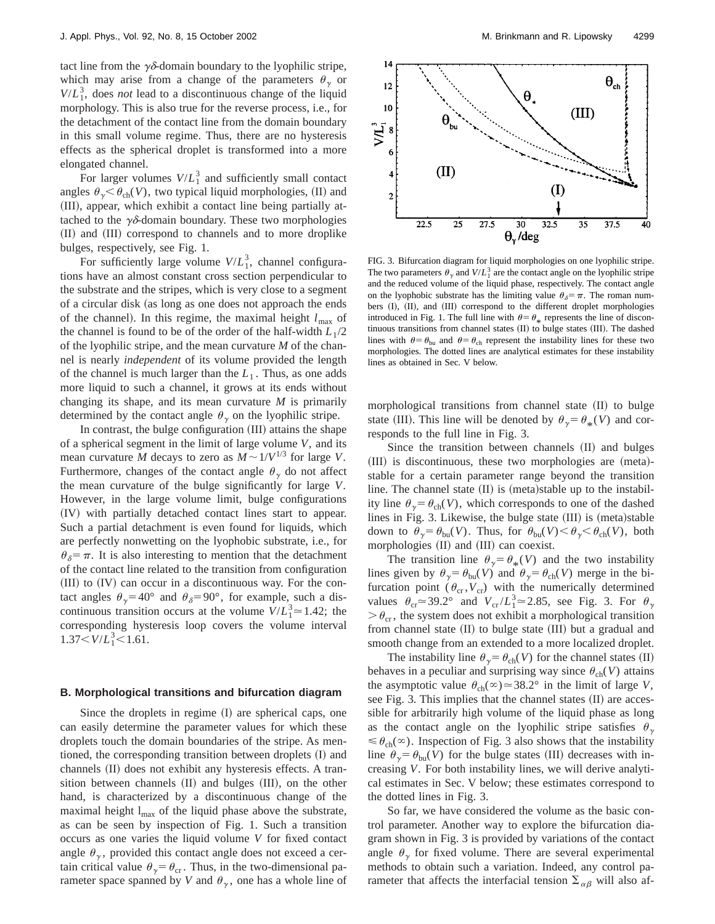tact line from the  $\gamma\delta$ -domain boundary to the lyophilic stripe, which may arise from a change of the parameters  $\theta_{\gamma}$  or  $V/L_1^3$ , does *not* lead to a discontinuous change of the liquid morphology. This is also true for the reverse process, i.e., for the detachment of the contact line from the domain boundary in this small volume regime. Thus, there are no hysteresis effects as the spherical droplet is transformed into a more elongated channel.

For larger volumes  $V/L_1^3$  and sufficiently small contact angles  $\theta_{\gamma} < \theta_{\rm ch}(V)$ , two typical liquid morphologies, (II) and (III), appear, which exhibit a contact line being partially attached to the  $\gamma\delta$ -domain boundary. These two morphologies (II) and (III) correspond to channels and to more droplike bulges, respectively, see Fig. 1.

For sufficiently large volume  $V/L_1^3$ , channel configurations have an almost constant cross section perpendicular to the substrate and the stripes, which is very close to a segment of a circular disk (as long as one does not approach the ends of the channel). In this regime, the maximal height  $l_{\text{max}}$  of the channel is found to be of the order of the half-width  $L_1/2$ of the lyophilic stripe, and the mean curvature *M* of the channel is nearly *independent* of its volume provided the length of the channel is much larger than the  $L_1$ . Thus, as one adds more liquid to such a channel, it grows at its ends without changing its shape, and its mean curvature *M* is primarily determined by the contact angle  $\theta_{\gamma}$  on the lyophilic stripe.

In contrast, the bulge configuration (III) attains the shape of a spherical segment in the limit of large volume *V*, and its mean curvature *M* decays to zero as  $M \sim 1/V^{1/3}$  for large *V*. Furthermore, changes of the contact angle  $\theta_{\gamma}$  do not affect the mean curvature of the bulge significantly for large *V*. However, in the large volume limit, bulge configurations ~IV! with partially detached contact lines start to appear. Such a partial detachment is even found for liquids, which are perfectly nonwetting on the lyophobic substrate, i.e., for  $\theta_{\delta} = \pi$ . It is also interesting to mention that the detachment of the contact line related to the transition from configuration  $(III)$  to  $(IV)$  can occur in a discontinuous way. For the contact angles  $\theta_{\gamma} = 40^{\circ}$  and  $\theta_{\delta} = 90^{\circ}$ , for example, such a discontinuous transition occurs at the volume  $V/L_1^3 \approx 1.42$ ; the corresponding hysteresis loop covers the volume interval  $1.37 < V/L_1^3 < 1.61$ .

# **B. Morphological transitions and bifurcation diagram**

Since the droplets in regime  $(I)$  are spherical caps, one can easily determine the parameter values for which these droplets touch the domain boundaries of the stripe. As mentioned, the corresponding transition between droplets (I) and channels (II) does not exhibit any hysteresis effects. A transition between channels  $(II)$  and bulges  $(III)$ , on the other hand, is characterized by a discontinuous change of the maximal height  $l_{\text{max}}$  of the liquid phase above the substrate, as can be seen by inspection of Fig. 1. Such a transition occurs as one varies the liquid volume *V* for fixed contact angle  $\theta_{\gamma}$ , provided this contact angle does not exceed a certain critical value  $\theta_{\gamma} = \theta_{cr}$ . Thus, in the two-dimensional parameter space spanned by *V* and  $\theta_{\gamma}$ , one has a whole line of



FIG. 3. Bifurcation diagram for liquid morphologies on one lyophilic stripe. The two parameters  $\theta_{\gamma}$  and  $V/L_1^3$  are the contact angle on the lyophilic stripe and the reduced volume of the liquid phase, respectively. The contact angle on the lyophobic substrate has the limiting value  $\theta_{\delta} = \pi$ . The roman numbers (I), (II), and (III) correspond to the different droplet morphologies introduced in Fig. 1. The full line with  $\theta = \theta_*$  represents the line of discontinuous transitions from channel states  $(II)$  to bulge states  $(III)$ . The dashed lines with  $\theta = \theta_{\text{bu}}$  and  $\theta = \theta_{\text{ch}}$  represent the instability lines for these two morphologies. The dotted lines are analytical estimates for these instability lines as obtained in Sec. V below.

morphological transitions from channel state  $(II)$  to bulge state (III). This line will be denoted by  $\theta_{\gamma} = \theta_{\gamma}(V)$  and corresponds to the full line in Fig. 3.

Since the transition between channels  $(II)$  and bulges (III) is discontinuous, these two morphologies are (meta)stable for a certain parameter range beyond the transition line. The channel state  $(II)$  is (meta)stable up to the instability line  $\theta_{\gamma} = \theta_{ch}(V)$ , which corresponds to one of the dashed lines in Fig. 3. Likewise, the bulge state  $(III)$  is  $(meta)$ stable down to  $\theta_{\gamma} = \theta_{\text{bu}}(V)$ . Thus, for  $\theta_{\text{bu}}(V) < \theta_{\gamma} < \theta_{\text{ch}}(V)$ , both morphologies (II) and (III) can coexist.

The transition line  $\theta_{\gamma} = \theta_{*}(V)$  and the two instability lines given by  $\theta_{\gamma} = \theta_{\text{bu}}(V)$  and  $\theta_{\gamma} = \theta_{\text{ch}}(V)$  merge in the bifurcation point ( $\theta_{cr}$ ,  $V_{cr}$ ) with the numerically determined values  $\theta_{\rm cr} \approx 39.2^{\circ}$  and  $V_{\rm cr}/L_1^3 \approx 2.85$ , see Fig. 3. For  $\theta_{\gamma}$  $\partial \theta_{cr}$ , the system does not exhibit a morphological transition from channel state  $(II)$  to bulge state  $(III)$  but a gradual and smooth change from an extended to a more localized droplet.

The instability line  $\theta_{\gamma} = \theta_{ch}(V)$  for the channel states (II) behaves in a peculiar and surprising way since  $\theta_{ch}(V)$  attains the asymptotic value  $\theta_{ch}(\infty) \approx 38.2^{\circ}$  in the limit of large *V*, see Fig. 3. This implies that the channel states  $(II)$  are accessible for arbitrarily high volume of the liquid phase as long as the contact angle on the lyophilic stripe satisfies  $\theta_{\gamma}$  $\leq \theta_{ch}(\infty)$ . Inspection of Fig. 3 also shows that the instability line  $\theta_{\gamma} = \theta_{\text{bu}}(V)$  for the bulge states (III) decreases with increasing *V*. For both instability lines, we will derive analytical estimates in Sec. V below; these estimates correspond to the dotted lines in Fig. 3.

So far, we have considered the volume as the basic control parameter. Another way to explore the bifurcation diagram shown in Fig. 3 is provided by variations of the contact angle  $\theta_{\gamma}$  for fixed volume. There are several experimental methods to obtain such a variation. Indeed, any control parameter that affects the interfacial tension  $\Sigma_{\alpha\beta}$  will also af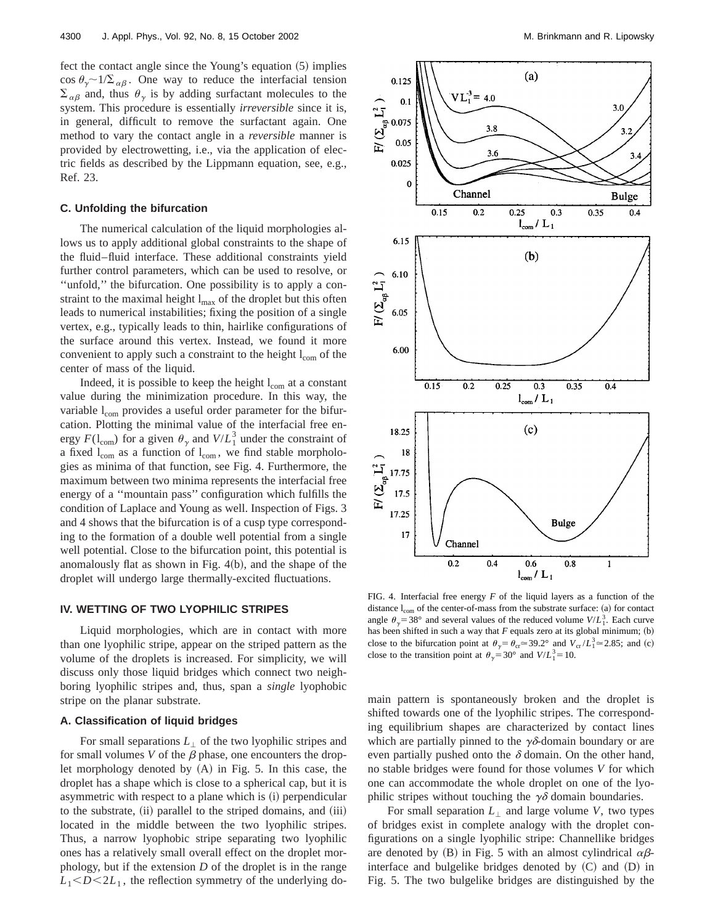fect the contact angle since the Young's equation  $(5)$  implies  $\cos \theta_{\gamma}$  1/ $\sum_{\alpha\beta}$ . One way to reduce the interfacial tension  $\sum_{\alpha\beta}$  and, thus  $\theta_{\gamma}$  is by adding surfactant molecules to the system. This procedure is essentially *irreversible* since it is, in general, difficult to remove the surfactant again. One method to vary the contact angle in a *reversible* manner is provided by electrowetting, i.e., via the application of electric fields as described by the Lippmann equation, see, e.g., Ref. 23.

#### **C. Unfolding the bifurcation**

The numerical calculation of the liquid morphologies allows us to apply additional global constraints to the shape of the fluid–fluid interface. These additional constraints yield further control parameters, which can be used to resolve, or ''unfold,'' the bifurcation. One possibility is to apply a constraint to the maximal height  $l_{\text{max}}$  of the droplet but this often leads to numerical instabilities; fixing the position of a single vertex, e.g., typically leads to thin, hairlike configurations of the surface around this vertex. Instead, we found it more convenient to apply such a constraint to the height  $l_{\text{com}}$  of the center of mass of the liquid.

Indeed, it is possible to keep the height  $l_{\text{com}}$  at a constant value during the minimization procedure. In this way, the variable  $l_{\text{com}}$  provides a useful order parameter for the bifurcation. Plotting the minimal value of the interfacial free energy  $F(1_{\text{com}})$  for a given  $\theta_{\gamma}$  and  $V/L_1^3$  under the constraint of a fixed  $l_{\text{com}}$  as a function of  $l_{\text{com}}$ , we find stable morphologies as minima of that function, see Fig. 4. Furthermore, the maximum between two minima represents the interfacial free energy of a ''mountain pass'' configuration which fulfills the condition of Laplace and Young as well. Inspection of Figs. 3 and 4 shows that the bifurcation is of a cusp type corresponding to the formation of a double well potential from a single well potential. Close to the bifurcation point, this potential is anomalously flat as shown in Fig.  $4(b)$ , and the shape of the droplet will undergo large thermally-excited fluctuations.

# **IV. WETTING OF TWO LYOPHILIC STRIPES**

Liquid morphologies, which are in contact with more than one lyophilic stripe, appear on the striped pattern as the volume of the droplets is increased. For simplicity, we will discuss only those liquid bridges which connect two neighboring lyophilic stripes and, thus, span a *single* lyophobic stripe on the planar substrate.

# **A. Classification of liquid bridges**

For small separations  $L_{\perp}$  of the two lyophilic stripes and for small volumes *V* of the  $\beta$  phase, one encounters the droplet morphology denoted by  $(A)$  in Fig. 5. In this case, the droplet has a shape which is close to a spherical cap, but it is asymmetric with respect to a plane which is (i) perpendicular to the substrate, (ii) parallel to the striped domains, and (iii) located in the middle between the two lyophilic stripes. Thus, a narrow lyophobic stripe separating two lyophilic ones has a relatively small overall effect on the droplet morphology, but if the extension *D* of the droplet is in the range  $L_1$   $\leq D \leq 2L_1$ , the reflection symmetry of the underlying do-



FIG. 4. Interfacial free energy *F* of the liquid layers as a function of the distance  $l_{\text{com}}$  of the center-of-mass from the substrate surface: (a) for contact angle  $\theta_{\gamma}$  = 38° and several values of the reduced volume *V*/*L*<sub>1</sub><sup>3</sup>. Each curve has been shifted in such a way that  $F$  equals zero at its global minimum; (b) close to the bifurcation point at  $\theta_{\gamma} = \theta_{\rm cr} \approx 39.2^{\circ}$  and  $V_{\rm cr}/L_1^3 \approx 2.85$ ; and (c) close to the transition point at  $\theta_{\gamma} = 30^{\circ}$  and  $V/L_1^3 = 10$ .

main pattern is spontaneously broken and the droplet is shifted towards one of the lyophilic stripes. The corresponding equilibrium shapes are characterized by contact lines which are partially pinned to the  $\gamma\delta$ -domain boundary or are even partially pushed onto the  $\delta$  domain. On the other hand, no stable bridges were found for those volumes *V* for which one can accommodate the whole droplet on one of the lyophilic stripes without touching the  $\gamma\delta$  domain boundaries.

For small separation  $L_{\perp}$  and large volume *V*, two types of bridges exist in complete analogy with the droplet configurations on a single lyophilic stripe: Channellike bridges are denoted by (B) in Fig. 5 with an almost cylindrical  $\alpha\beta$ interface and bulgelike bridges denoted by  $(C)$  and  $(D)$  in Fig. 5. The two bulgelike bridges are distinguished by the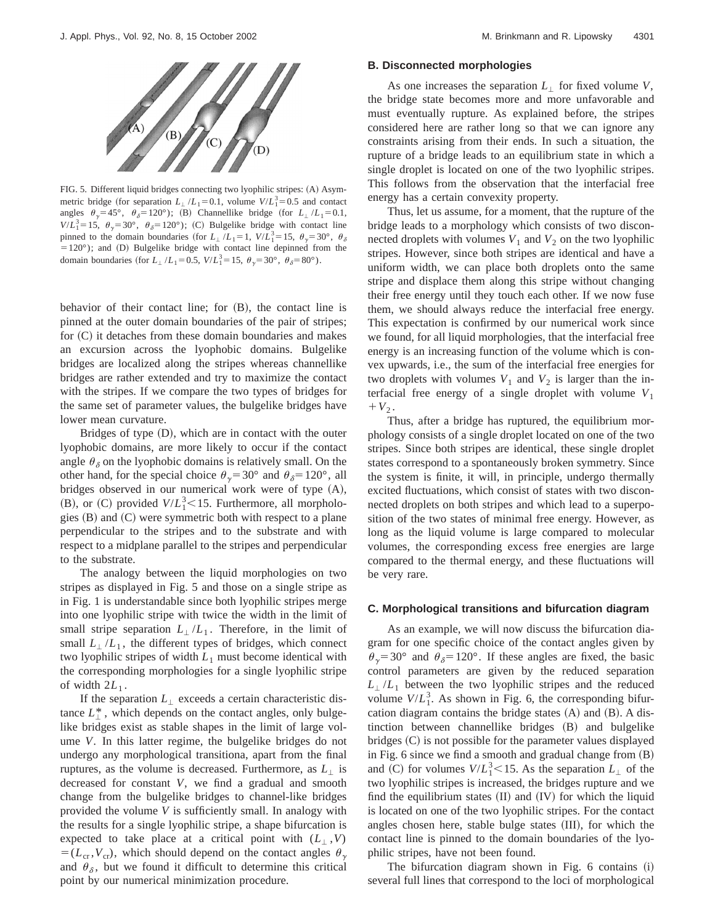

FIG. 5. Different liquid bridges connecting two lyophilic stripes: (A) Asymmetric bridge (for separation  $L_{\perp}/L_1=0.1$ , volume  $V/L_1^3=0.5$  and contact angles  $\theta_{\gamma} = 45^{\circ}$ ,  $\theta_{\delta} = 120^{\circ}$ ); (B) Channellike bridge (for  $L_{\perp}/L_1 = 0.1$ ,  $V/L_1^3 = 15$ ,  $\theta_\gamma = 30^\circ$ ,  $\theta_\delta = 120^\circ$ ; (C) Bulgelike bridge with contact line pinned to the domain boundaries (for  $L_{\perp}/L_1=1$ ,  $V/L_1^3=15$ ,  $\theta_{\gamma}=30^{\circ}$ ,  $\theta_{\delta}$  $=120^{\circ}$ ); and (D) Bulgelike bridge with contact line depinned from the domain boundaries (for  $L_{\perp}$  / $L_1 = 0.5$ ,  $V/L_1^3 = 15$ ,  $\theta_{\gamma} = 30^{\circ}$ ,  $\theta_{\delta} = 80^{\circ}$ ).

behavior of their contact line; for  $(B)$ , the contact line is pinned at the outer domain boundaries of the pair of stripes; for  $(C)$  it detaches from these domain boundaries and makes an excursion across the lyophobic domains. Bulgelike bridges are localized along the stripes whereas channellike bridges are rather extended and try to maximize the contact with the stripes. If we compare the two types of bridges for the same set of parameter values, the bulgelike bridges have lower mean curvature.

Bridges of type  $(D)$ , which are in contact with the outer lyophobic domains, are more likely to occur if the contact angle  $\theta_{\delta}$  on the lyophobic domains is relatively small. On the other hand, for the special choice  $\theta_{\gamma} = 30^{\circ}$  and  $\theta_{\delta} = 120^{\circ}$ , all bridges observed in our numerical work were of type  $(A)$ , (B), or (C) provided  $V/L_1^3$  < 15. Furthermore, all morphologies  $(B)$  and  $(C)$  were symmetric both with respect to a plane perpendicular to the stripes and to the substrate and with respect to a midplane parallel to the stripes and perpendicular to the substrate.

The analogy between the liquid morphologies on two stripes as displayed in Fig. 5 and those on a single stripe as in Fig. 1 is understandable since both lyophilic stripes merge into one lyophilic stripe with twice the width in the limit of small stripe separation  $L_1/L_1$ . Therefore, in the limit of small  $L_1/L_1$ , the different types of bridges, which connect two lyophilic stripes of width *L*<sup>1</sup> must become identical with the corresponding morphologies for a single lyophilic stripe of width  $2L_1$ .

If the separation  $L_{\perp}$  exceeds a certain characteristic distance  $L_{\perp}^{*}$ , which depends on the contact angles, only bulgelike bridges exist as stable shapes in the limit of large volume *V*. In this latter regime, the bulgelike bridges do not undergo any morphological transitiona, apart from the final ruptures, as the volume is decreased. Furthermore, as  $L_{\perp}$  is decreased for constant *V*, we find a gradual and smooth change from the bulgelike bridges to channel-like bridges provided the volume *V* is sufficiently small. In analogy with the results for a single lyophilic stripe, a shape bifurcation is expected to take place at a critical point with  $(L_+ , V)$  $=(L_{cr}, V_{cr})$ , which should depend on the contact angles  $\theta_{\gamma}$ and  $\theta_{\delta}$ , but we found it difficult to determine this critical point by our numerical minimization procedure.

# **B. Disconnected morphologies**

As one increases the separation  $L_{\perp}$  for fixed volume *V*, the bridge state becomes more and more unfavorable and must eventually rupture. As explained before, the stripes considered here are rather long so that we can ignore any constraints arising from their ends. In such a situation, the rupture of a bridge leads to an equilibrium state in which a single droplet is located on one of the two lyophilic stripes. This follows from the observation that the interfacial free energy has a certain convexity property.

Thus, let us assume, for a moment, that the rupture of the bridge leads to a morphology which consists of two disconnected droplets with volumes  $V_1$  and  $V_2$  on the two lyophilic stripes. However, since both stripes are identical and have a uniform width, we can place both droplets onto the same stripe and displace them along this stripe without changing their free energy until they touch each other. If we now fuse them, we should always reduce the interfacial free energy. This expectation is confirmed by our numerical work since we found, for all liquid morphologies, that the interfacial free energy is an increasing function of the volume which is convex upwards, i.e., the sum of the interfacial free energies for two droplets with volumes  $V_1$  and  $V_2$  is larger than the interfacial free energy of a single droplet with volume  $V_1$  $+V_2$ .

Thus, after a bridge has ruptured, the equilibrium morphology consists of a single droplet located on one of the two stripes. Since both stripes are identical, these single droplet states correspond to a spontaneously broken symmetry. Since the system is finite, it will, in principle, undergo thermally excited fluctuations, which consist of states with two disconnected droplets on both stripes and which lead to a superposition of the two states of minimal free energy. However, as long as the liquid volume is large compared to molecular volumes, the corresponding excess free energies are large compared to the thermal energy, and these fluctuations will be very rare.

# **C. Morphological transitions and bifurcation diagram**

As an example, we will now discuss the bifurcation diagram for one specific choice of the contact angles given by  $\theta_{\gamma}$  = 30° and  $\theta_{\delta}$  = 120°. If these angles are fixed, the basic control parameters are given by the reduced separation  $L_{\perp}/L_1$  between the two lyophilic stripes and the reduced volume  $V/L_1^3$ . As shown in Fig. 6, the corresponding bifurcation diagram contains the bridge states  $(A)$  and  $(B)$ . A distinction between channellike bridges  $(B)$  and bulgelike bridges  $(C)$  is not possible for the parameter values displayed in Fig. 6 since we find a smooth and gradual change from  $(B)$ and (C) for volumes  $V/L_1^3$  < 15. As the separation  $L_{\perp}$  of the two lyophilic stripes is increased, the bridges rupture and we find the equilibrium states  $(II)$  and  $(IV)$  for which the liquid is located on one of the two lyophilic stripes. For the contact angles chosen here, stable bulge states  $(HI)$ , for which the contact line is pinned to the domain boundaries of the lyophilic stripes, have not been found.

The bifurcation diagram shown in Fig.  $6$  contains  $(i)$ several full lines that correspond to the loci of morphological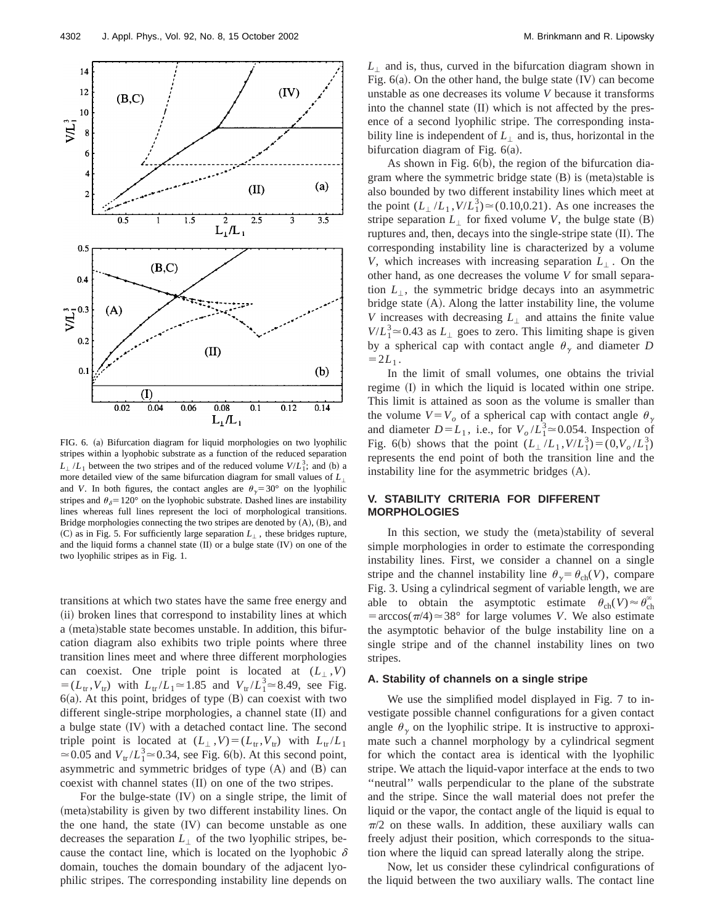

FIG. 6. (a) Bifurcation diagram for liquid morphologies on two lyophilic stripes within a lyophobic substrate as a function of the reduced separation  $L_{\perp}/L_1$  between the two stripes and of the reduced volume  $V/L_1^3$ ; and (b) a more detailed view of the same bifurcation diagram for small values of *L*' and *V*. In both figures, the contact angles are  $\theta_{\gamma} = 30^{\circ}$  on the lyophilic stripes and  $\theta_{\delta}$ = 120° on the lyophobic substrate. Dashed lines are instability lines whereas full lines represent the loci of morphological transitions. Bridge morphologies connecting the two stripes are denoted by  $(A)$ ,  $(B)$ , and  $(C)$  as in Fig. 5. For sufficiently large separation  $L_{\perp}$ , these bridges rupture, and the liquid forms a channel state  $(II)$  or a bulge state  $(IV)$  on one of the two lyophilic stripes as in Fig. 1.

transitions at which two states have the same free energy and  $(iii)$  broken lines that correspond to instability lines at which a (meta)stable state becomes unstable. In addition, this bifurcation diagram also exhibits two triple points where three transition lines meet and where three different morphologies can coexist. One triple point is located at  $(L_1, V)$  $=(L_{tr}, V_{tr})$  with  $L_{tr}/L_1 \approx 1.85$  and  $V_{tr}/L_1^3 \approx 8.49$ , see Fig.  $6(a)$ . At this point, bridges of type  $(B)$  can coexist with two different single-stripe morphologies, a channel state  $(II)$  and a bulge state  $(IV)$  with a detached contact line. The second triple point is located at  $(L_+, V) = (L_{tr}, V_{tr})$  with  $L_{tr}/L_1$  $\approx$  0.05 and  $V_{tr}/L_1^3 \approx$  0.34, see Fig. 6(b). At this second point, asymmetric and symmetric bridges of type  $(A)$  and  $(B)$  can coexist with channel states (II) on one of the two stripes.

For the bulge-state  $(IV)$  on a single stripe, the limit of (meta)stability is given by two different instability lines. On the one hand, the state  $(IV)$  can become unstable as one decreases the separation  $L_{\perp}$  of the two lyophilic stripes, because the contact line, which is located on the lyophobic  $\delta$ domain, touches the domain boundary of the adjacent lyophilic stripes. The corresponding instability line depends on

 $L_{\perp}$  and is, thus, curved in the bifurcation diagram shown in Fig.  $6(a)$ . On the other hand, the bulge state  $(IV)$  can become unstable as one decreases its volume *V* because it transforms into the channel state  $(II)$  which is not affected by the presence of a second lyophilic stripe. The corresponding instability line is independent of  $L_{\perp}$  and is, thus, horizontal in the bifurcation diagram of Fig.  $6(a)$ .

As shown in Fig.  $6(b)$ , the region of the bifurcation diagram where the symmetric bridge state  $(B)$  is  $(meta)$ stable is also bounded by two different instability lines which meet at the point  $(L_1/L_1, V/L_1^3) \approx (0.10, 0.21)$ . As one increases the stripe separation  $L_1$  for fixed volume *V*, the bulge state (B) ruptures and, then, decays into the single-stripe state  $(II)$ . The corresponding instability line is characterized by a volume *V*, which increases with increasing separation  $L_{\perp}$ . On the other hand, as one decreases the volume *V* for small separation  $L_{\perp}$ , the symmetric bridge decays into an asymmetric bridge state  $(A)$ . Along the latter instability line, the volume *V* increases with decreasing  $L_{\perp}$  and attains the finite value  $V/L_1^3 \approx 0.43$  as  $L_{\perp}$  goes to zero. This limiting shape is given by a spherical cap with contact angle  $\theta_{\gamma}$  and diameter *D*  $=2L_{1}$ .

In the limit of small volumes, one obtains the trivial regime  $(I)$  in which the liquid is located within one stripe. This limit is attained as soon as the volume is smaller than the volume  $V = V_o$  of a spherical cap with contact angle  $\theta_{\gamma}$ and diameter  $D = L_1$ , i.e., for  $V_o / L_1^3 \approx 0.054$ . Inspection of Fig. 6(b) shows that the point  $(L_1/L_1, V/L_1^3) = (0, V_0/L_1^3)$ represents the end point of both the transition line and the instability line for the asymmetric bridges  $(A)$ .

# **V. STABILITY CRITERIA FOR DIFFERENT MORPHOLOGIES**

In this section, we study the (meta)stability of several simple morphologies in order to estimate the corresponding instability lines. First, we consider a channel on a single stripe and the channel instability line  $\theta_{\gamma} = \theta_{ch}(V)$ , compare Fig. 3. Using a cylindrical segment of variable length, we are able to obtain the asymptotic estimate  $\theta_{ch}(V) \approx \theta_{ch}^{\infty}$  $=arccos(\pi/4) \approx 38^{\circ}$  for large volumes *V*. We also estimate the asymptotic behavior of the bulge instability line on a single stripe and of the channel instability lines on two stripes.

# **A. Stability of channels on a single stripe**

We use the simplified model displayed in Fig. 7 to investigate possible channel configurations for a given contact angle  $\theta_{\gamma}$  on the lyophilic stripe. It is instructive to approximate such a channel morphology by a cylindrical segment for which the contact area is identical with the lyophilic stripe. We attach the liquid-vapor interface at the ends to two "neutral" walls perpendicular to the plane of the substrate and the stripe. Since the wall material does not prefer the liquid or the vapor, the contact angle of the liquid is equal to  $\pi/2$  on these walls. In addition, these auxiliary walls can freely adjust their position, which corresponds to the situation where the liquid can spread laterally along the stripe.

Now, let us consider these cylindrical configurations of the liquid between the two auxiliary walls. The contact line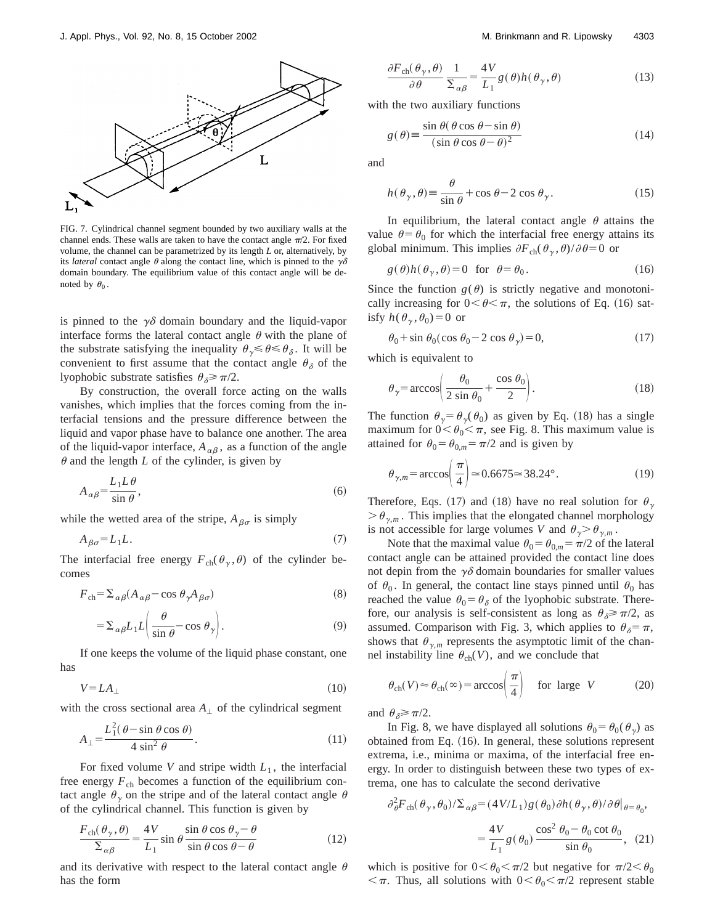

FIG. 7. Cylindrical channel segment bounded by two auxiliary walls at the channel ends. These walls are taken to have the contact angle  $\pi/2$ . For fixed volume, the channel can be parametrized by its length *L* or, alternatively, by its *lateral* contact angle  $\theta$  along the contact line, which is pinned to the  $\gamma\delta$ domain boundary. The equilibrium value of this contact angle will be denoted by  $\theta_0$ .

is pinned to the  $\gamma\delta$  domain boundary and the liquid-vapor interface forms the lateral contact angle  $\theta$  with the plane of the substrate satisfying the inequality  $\theta_{\gamma} \leq \theta \leq \theta_{\delta}$ . It will be convenient to first assume that the contact angle  $\theta_{\delta}$  of the lyophobic substrate satisfies  $\theta_{\delta} \ge \pi/2$ .

By construction, the overall force acting on the walls vanishes, which implies that the forces coming from the interfacial tensions and the pressure difference between the liquid and vapor phase have to balance one another. The area of the liquid-vapor interface,  $A_{\alpha\beta}$ , as a function of the angle  $\theta$  and the length *L* of the cylinder, is given by

$$
A_{\alpha\beta} = \frac{L_1 L \theta}{\sin \theta},\tag{6}
$$

while the wetted area of the stripe,  $A_{\beta\sigma}$  is simply

$$
A_{\beta\sigma} = L_1 L. \tag{7}
$$

The interfacial free energy  $F_{ch}(\theta_{\gamma}, \theta)$  of the cylinder becomes

$$
F_{\rm ch} = \sum_{\alpha\beta} (A_{\alpha\beta} - \cos\theta_{\gamma} A_{\beta\sigma})
$$
 (8)

$$
= \Sigma_{\alpha\beta} L_1 L \left( \frac{\theta}{\sin \theta} - \cos \theta_{\gamma} \right). \tag{9}
$$

If one keeps the volume of the liquid phase constant, one has

$$
V = LA_{\perp} \tag{10}
$$

with the cross sectional area  $A_{\perp}$  of the cylindrical segment

$$
A_{\perp} = \frac{L_1^2(\theta - \sin \theta \cos \theta)}{4 \sin^2 \theta}.
$$
 (11)

For fixed volume *V* and stripe width  $L_1$ , the interfacial free energy  $F_{ch}$  becomes a function of the equilibrium contact angle  $\theta_{\gamma}$  on the stripe and of the lateral contact angle  $\theta$ of the cylindrical channel. This function is given by

$$
\frac{F_{\text{ch}}(\theta_{\gamma}, \theta)}{\Sigma_{\alpha\beta}} = \frac{4V}{L_1} \sin \theta \frac{\sin \theta \cos \theta_{\gamma} - \theta}{\sin \theta \cos \theta - \theta}
$$
(12)

and its derivative with respect to the lateral contact angle  $\theta$ has the form

$$
\frac{\partial F_{\text{ch}}(\theta_{\gamma}, \theta)}{\partial \theta} \frac{1}{\Sigma_{\alpha \beta}} = \frac{4V}{L_1} g(\theta) h(\theta_{\gamma}, \theta)
$$
(13)

with the two auxiliary functions

$$
g(\theta) \equiv \frac{\sin \theta (\theta \cos \theta - \sin \theta)}{(\sin \theta \cos \theta - \theta)^2}
$$
 (14)

and

$$
h(\theta_{\gamma}, \theta) \equiv \frac{\theta}{\sin \theta} + \cos \theta - 2 \cos \theta_{\gamma}.
$$
 (15)

In equilibrium, the lateral contact angle  $\theta$  attains the value  $\theta = \theta_0$  for which the interfacial free energy attains its global minimum. This implies  $\partial F_{ch}(\theta_{\gamma}, \theta)/\partial \theta = 0$  or

$$
g(\theta)h(\theta_{\gamma},\theta)=0 \text{ for } \theta=\theta_0. \tag{16}
$$

Since the function  $g(\theta)$  is strictly negative and monotonically increasing for  $0<\theta<\pi$ , the solutions of Eq. (16) satisfy  $h(\theta_{\gamma}, \theta_0) = 0$  or

$$
\theta_0 + \sin \theta_0 (\cos \theta_0 - 2 \cos \theta_\gamma) = 0,\tag{17}
$$

which is equivalent to

$$
\theta_{\gamma} = \arccos\left(\frac{\theta_0}{2\sin\theta_0} + \frac{\cos\theta_0}{2}\right). \tag{18}
$$

The function  $\theta_{\gamma} = \theta_{\gamma}(\theta_0)$  as given by Eq. (18) has a single maximum for  $0<\theta_0<\pi$ , see Fig. 8. This maximum value is attained for  $\theta_0 = \theta_{0,m} = \pi/2$  and is given by

$$
\theta_{\gamma,m} = \arccos\left(\frac{\pi}{4}\right) \approx 0.6675 \approx 38.24^{\circ} \,. \tag{19}
$$

Therefore, Eqs. (17) and (18) have no real solution for  $\theta_{\gamma}$  $\partial \theta_{\gamma,m}$ . This implies that the elongated channel morphology is not accessible for large volumes *V* and  $\theta_{\gamma} > \theta_{\gamma,m}$ .

Note that the maximal value  $\theta_0 = \theta_{0,m} = \pi/2$  of the lateral contact angle can be attained provided the contact line does not depin from the  $\gamma\delta$  domain boundaries for smaller values of  $\theta_0$ . In general, the contact line stays pinned until  $\theta_0$  has reached the value  $\theta_0 = \theta_\delta$  of the lyophobic substrate. Therefore, our analysis is self-consistent as long as  $\theta_{\delta} \ge \pi/2$ , as assumed. Comparison with Fig. 3, which applies to  $\theta_{\delta} = \pi$ , shows that  $\theta_{\gamma,m}$  represents the asymptotic limit of the channel instability line  $\theta_{ch}(V)$ , and we conclude that

$$
\theta_{\rm ch}(V) \approx \theta_{\rm ch}(\infty) = \arccos\left(\frac{\pi}{4}\right) \quad \text{for large } V \tag{20}
$$

and  $\theta_{\delta} \geq \pi/2$ .

In Fig. 8, we have displayed all solutions  $\theta_0 = \theta_0(\theta_\gamma)$  as obtained from Eq.  $(16)$ . In general, these solutions represent extrema, i.e., minima or maxima, of the interfacial free energy. In order to distinguish between these two types of extrema, one has to calculate the second derivative

$$
\partial_{\theta}^{2} F_{\text{ch}}(\theta_{\gamma}, \theta_{0}) / \Sigma_{\alpha\beta} = (4V/L_{1})g(\theta_{0}) \partial h(\theta_{\gamma}, \theta) / \partial \theta|_{\theta = \theta_{0}},
$$

$$
= \frac{4V}{L_{1}} g(\theta_{0}) \frac{\cos^{2} \theta_{0} - \theta_{0} \cot \theta_{0}}{\sin \theta_{0}}, (21)
$$

which is positive for  $0<\theta_0<\pi/2$  but negative for  $\pi/2<\theta_0$  $\langle \pi$ . Thus, all solutions with  $0 \le \theta_0 \le \pi/2$  represent stable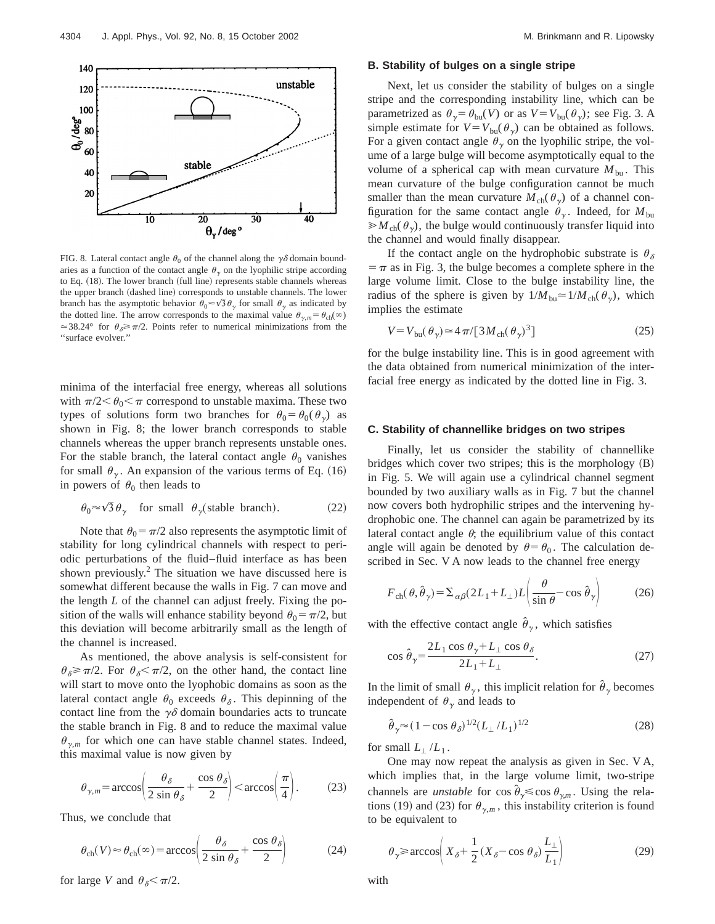

FIG. 8. Lateral contact angle  $\theta_0$  of the channel along the  $\gamma\delta$  domain boundaries as a function of the contact angle  $\theta_{\gamma}$  on the lyophilic stripe according to Eq.  $(18)$ . The lower branch  $(full line)$  represents stable channels whereas the upper branch (dashed line) corresponds to unstable channels. The lower branch has the asymptotic behavior  $\theta_0 \approx \sqrt{3} \theta_\gamma$  for small  $\theta_\gamma$  as indicated by the dotted line. The arrow corresponds to the maximal value  $\theta_{\gamma,m} = \theta_{\rm ch}(\infty)$  $\approx$  38.24° for  $\theta_{\delta} \ge \pi/2$ . Points refer to numerical minimizations from the ''surface evolver.''

minima of the interfacial free energy, whereas all solutions with  $\pi/2 < \theta_0 < \pi$  correspond to unstable maxima. These two types of solutions form two branches for  $\theta_0 = \theta_0(\theta_\gamma)$  as shown in Fig. 8; the lower branch corresponds to stable channels whereas the upper branch represents unstable ones. For the stable branch, the lateral contact angle  $\theta_0$  vanishes for small  $\theta_{\gamma}$ . An expansion of the various terms of Eq. (16) in powers of  $\theta_0$  then leads to

$$
\theta_0 \approx \sqrt{3} \theta_\gamma
$$
 for small  $\theta_\gamma$  (stable branch). (22)

Note that  $\theta_0 = \pi/2$  also represents the asymptotic limit of stability for long cylindrical channels with respect to periodic perturbations of the fluid–fluid interface as has been shown previously.<sup>2</sup> The situation we have discussed here is somewhat different because the walls in Fig. 7 can move and the length *L* of the channel can adjust freely. Fixing the position of the walls will enhance stability beyond  $\theta_0 = \pi/2$ , but this deviation will become arbitrarily small as the length of the channel is increased.

As mentioned, the above analysis is self-consistent for  $\theta_{\delta} \ge \pi/2$ . For  $\theta_{\delta} \le \pi/2$ , on the other hand, the contact line will start to move onto the lyophobic domains as soon as the lateral contact angle  $\theta_0$  exceeds  $\theta_{\delta}$ . This depinning of the contact line from the  $\gamma\delta$  domain boundaries acts to truncate the stable branch in Fig. 8 and to reduce the maximal value  $\theta_{\gamma,m}$  for which one can have stable channel states. Indeed, this maximal value is now given by

$$
\theta_{\gamma,m} = \arccos\left(\frac{\theta_{\delta}}{2\sin\theta_{\delta}} + \frac{\cos\theta_{\delta}}{2}\right) < \arccos\left(\frac{\pi}{4}\right). \tag{23}
$$

Thus, we conclude that

$$
\theta_{\rm ch}(V) \approx \theta_{\rm ch}(\infty) = \arccos\left(\frac{\theta_{\delta}}{2\sin\theta_{\delta}} + \frac{\cos\theta_{\delta}}{2}\right) \tag{24}
$$

for large *V* and  $\theta_{\delta} < \pi/2$ .

#### **B. Stability of bulges on a single stripe**

Next, let us consider the stability of bulges on a single stripe and the corresponding instability line, which can be parametrized as  $\theta_{\gamma} = \theta_{\text{bu}}(V)$  or as  $V = V_{\text{bu}}(\theta_{\gamma})$ ; see Fig. 3. A simple estimate for  $V = V_{\text{bu}}(\theta_{\gamma})$  can be obtained as follows. For a given contact angle  $\theta_{\gamma}$  on the lyophilic stripe, the volume of a large bulge will become asymptotically equal to the volume of a spherical cap with mean curvature  $M_{\text{bu}}$ . This mean curvature of the bulge configuration cannot be much smaller than the mean curvature  $M_{ch}(\theta_{\gamma})$  of a channel configuration for the same contact angle  $\theta_{\gamma}$ . Indeed, for  $M_{\text{bu}}$  $\gg M_{ch}(\theta_{\gamma})$ , the bulge would continuously transfer liquid into the channel and would finally disappear.

If the contact angle on the hydrophobic substrate is  $\theta_{\delta}$  $=$   $\pi$  as in Fig. 3, the bulge becomes a complete sphere in the large volume limit. Close to the bulge instability line, the radius of the sphere is given by  $1/M_{\text{bu}} \approx 1/M_{\text{ch}}(\theta_{\gamma})$ , which implies the estimate

$$
V = V_{\text{bu}}(\theta_{\gamma}) \approx 4 \pi / [3 M_{\text{ch}}(\theta_{\gamma})^3]
$$
 (25)

for the bulge instability line. This is in good agreement with the data obtained from numerical minimization of the interfacial free energy as indicated by the dotted line in Fig. 3.

# **C. Stability of channellike bridges on two stripes**

Finally, let us consider the stability of channellike bridges which cover two stripes; this is the morphology  $(B)$ in Fig. 5. We will again use a cylindrical channel segment bounded by two auxiliary walls as in Fig. 7 but the channel now covers both hydrophilic stripes and the intervening hydrophobic one. The channel can again be parametrized by its lateral contact angle  $\theta$ ; the equilibrium value of this contact angle will again be denoted by  $\theta = \theta_0$ . The calculation described in Sec. V A now leads to the channel free energy

$$
F_{\rm ch}(\theta, \hat{\theta}_{\gamma}) = \sum_{\alpha\beta} (2L_1 + L_{\perp}) L \left( \frac{\theta}{\sin \theta} - \cos \hat{\theta}_{\gamma} \right)
$$
 (26)

with the effective contact angle  $\hat{\theta}_{\gamma}$ , which satisfies

$$
\cos \hat{\theta}_{\gamma} = \frac{2L_1 \cos \theta_{\gamma} + L_{\perp} \cos \theta_{\delta}}{2L_1 + L_{\perp}}.\tag{27}
$$

In the limit of small  $\theta_{\gamma}$ , this implicit relation for  $\hat{\theta}_{\gamma}$  becomes independent of  $\theta_{\gamma}$  and leads to

$$
\hat{\theta}_{\gamma} \approx (1 - \cos \theta_{\delta})^{1/2} (L_{\perp}/L_1)^{1/2} \tag{28}
$$

for small  $L_1/L_1$ .

One may now repeat the analysis as given in Sec. V A, which implies that, in the large volume limit, two-stripe channels are *unstable* for  $\cos \theta_{\gamma} \leq \cos \theta_{\gamma,m}$ . Using the relations (19) and (23) for  $\theta_{\gamma,m}$ , this instability criterion is found to be equivalent to

$$
\theta_{\gamma} \ge \arccos\left(X_{\delta} + \frac{1}{2}(X_{\delta} - \cos \theta_{\delta}) \frac{L_{\perp}}{L_{1}}\right) \tag{29}
$$

with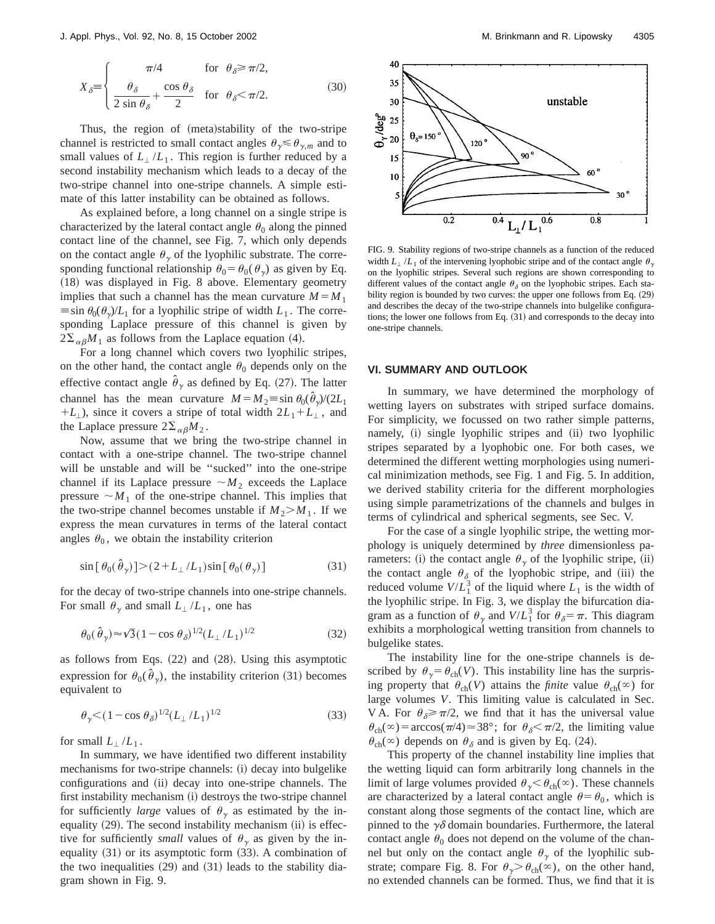$$
X_{\delta} = \begin{cases} \pi/4 & \text{for } \theta_{\delta} \ge \pi/2, \\ \frac{\theta_{\delta}}{2\sin\theta_{\delta}} + \frac{\cos\theta_{\delta}}{2} & \text{for } \theta_{\delta} < \pi/2. \end{cases} \tag{30}
$$

Thus, the region of (meta)stability of the two-stripe channel is restricted to small contact angles  $\theta_{\gamma} \leq \theta_{\gamma,m}$  and to small values of  $L_1/L_1$ . This region is further reduced by a second instability mechanism which leads to a decay of the two-stripe channel into one-stripe channels. A simple estimate of this latter instability can be obtained as follows.

As explained before, a long channel on a single stripe is characterized by the lateral contact angle  $\theta_0$  along the pinned contact line of the channel, see Fig. 7, which only depends on the contact angle  $\theta_{\gamma}$  of the lyophilic substrate. The corresponding functional relationship  $\theta_0 = \theta_0(\theta_\gamma)$  as given by Eq. (18) was displayed in Fig. 8 above. Elementary geometry implies that such a channel has the mean curvature  $M = M_1$  $\equiv \sin \theta_0(\theta_1/L_1)$  for a lyophilic stripe of width  $L_1$ . The corresponding Laplace pressure of this channel is given by  $2\sum_{\alpha\beta}M_1$  as follows from the Laplace equation (4).

For a long channel which covers two lyophilic stripes, on the other hand, the contact angle  $\theta_0$  depends only on the effective contact angle  $\hat{\theta}_{\gamma}$  as defined by Eq. (27). The latter channel has the mean curvature  $M = M_2 \equiv \sin \theta_0(\hat{\theta}_\gamma)/(2L_1)$  $+L_{\perp}$ ), since it covers a stripe of total width  $2L_1+L_{\perp}$ , and the Laplace pressure  $2\Sigma_{\alpha\beta}M_2$ .

Now, assume that we bring the two-stripe channel in contact with a one-stripe channel. The two-stripe channel will be unstable and will be ''sucked'' into the one-stripe channel if its Laplace pressure  $\sim M_2$  exceeds the Laplace pressure  $\sim M_1$  of the one-stripe channel. This implies that the two-stripe channel becomes unstable if  $M_2 > M_1$ . If we express the mean curvatures in terms of the lateral contact angles  $\theta_0$ , we obtain the instability criterion

$$
\sin[\theta_0(\hat{\theta}_{\gamma})] > (2 + L_{\perp}/L_1)\sin[\theta_0(\theta_{\gamma})]
$$
\n(31)

for the decay of two-stripe channels into one-stripe channels. For small  $\theta_{\gamma}$  and small  $L_{\perp}/L_1$ , one has

$$
\theta_0(\hat{\theta}_\gamma) \approx \sqrt{3}(1 - \cos \theta_\delta)^{1/2} (L_\perp/L_1)^{1/2} \tag{32}
$$

as follows from Eqs.  $(22)$  and  $(28)$ . Using this asymptotic expression for  $\theta_0(\hat{\theta}_\gamma)$ , the instability criterion (31) becomes equivalent to

$$
\theta_{\gamma} < (1 - \cos \theta_{\delta})^{1/2} (L_{\perp}/L_1)^{1/2}
$$
\n(33)

for small  $L_1/L_1$ .

In summary, we have identified two different instability mechanisms for two-stripe channels: (i) decay into bulgelike configurations and (ii) decay into one-stripe channels. The first instability mechanism (i) destroys the two-stripe channel for sufficiently *large* values of  $\theta_{\gamma}$  as estimated by the inequality  $(29)$ . The second instability mechanism  $(ii)$  is effective for sufficiently *small* values of  $\theta_{\gamma}$  as given by the inequality  $(31)$  or its asymptotic form  $(33)$ . A combination of the two inequalities  $(29)$  and  $(31)$  leads to the stability diagram shown in Fig. 9.



FIG. 9. Stability regions of two-stripe channels as a function of the reduced width  $L_1/L_1$  of the intervening lyophobic stripe and of the contact angle  $\theta_{\gamma}$ on the lyophilic stripes. Several such regions are shown corresponding to different values of the contact angle  $\theta_{\delta}$  on the lyophobic stripes. Each stability region is bounded by two curves: the upper one follows from Eq.  $(29)$ and describes the decay of the two-stripe channels into bulgelike configurations; the lower one follows from Eq.  $(31)$  and corresponds to the decay into one-stripe channels.

# **VI. SUMMARY AND OUTLOOK**

In summary, we have determined the morphology of wetting layers on substrates with striped surface domains. For simplicity, we focussed on two rather simple patterns, namely, (i) single lyophilic stripes and (ii) two lyophilic stripes separated by a lyophobic one. For both cases, we determined the different wetting morphologies using numerical minimization methods, see Fig. 1 and Fig. 5. In addition, we derived stability criteria for the different morphologies using simple parametrizations of the channels and bulges in terms of cylindrical and spherical segments, see Sec. V.

For the case of a single lyophilic stripe, the wetting morphology is uniquely determined by *three* dimensionless parameters: (i) the contact angle  $\theta_{\gamma}$  of the lyophilic stripe, (ii) the contact angle  $\theta_{\delta}$  of the lyophobic stripe, and (iii) the reduced volume  $V/L_1^3$  of the liquid where  $L_1$  is the width of the lyophilic stripe. In Fig. 3, we display the bifurcation diagram as a function of  $\theta_{\gamma}$  and  $V/L_1^3$  for  $\theta_{\delta} = \pi$ . This diagram exhibits a morphological wetting transition from channels to bulgelike states.

The instability line for the one-stripe channels is described by  $\theta_{\gamma} = \theta_{\rm ch}(V)$ . This instability line has the surprising property that  $\theta_{ch}(V)$  attains the *finite* value  $\theta_{ch}(\infty)$  for large volumes *V*. This limiting value is calculated in Sec. V A. For  $\theta_{\delta} \ge \pi/2$ , we find that it has the universal value  $\theta_{ch}(\infty)$  = arccos( $\pi/4$ )  $\approx$  38°; for  $\theta_{\delta}$   $\lt$   $\pi/2$ , the limiting value  $\theta_{ch}(\infty)$  depends on  $\theta_{\delta}$  and is given by Eq. (24).

This property of the channel instability line implies that the wetting liquid can form arbitrarily long channels in the limit of large volumes provided  $\theta_{\gamma} < \theta_{\rm ch}(\infty)$ . These channels are characterized by a lateral contact angle  $\theta = \theta_0$ , which is constant along those segments of the contact line, which are pinned to the  $\gamma\delta$  domain boundaries. Furthermore, the lateral contact angle  $\theta_0$  does not depend on the volume of the channel but only on the contact angle  $\theta_{\gamma}$  of the lyophilic substrate; compare Fig. 8. For  $\theta_{\gamma} > \theta_{ch}(\infty)$ , on the other hand, no extended channels can be formed. Thus, we find that it is